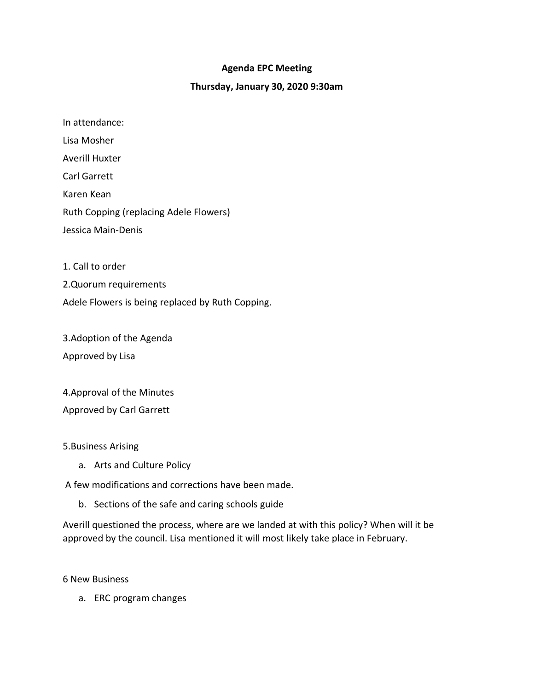### **Agenda EPC Meeting**

#### **Thursday, January 30, 2020 9:30am**

In attendance: Lisa Mosher Averill Huxter Carl Garrett Karen Kean Ruth Copping (replacing Adele Flowers) Jessica Main-Denis

1. Call to order

2.Quorum requirements

Adele Flowers is being replaced by Ruth Copping.

3.Adoption of the Agenda Approved by Lisa

4.Approval of the Minutes Approved by Carl Garrett

5.Business Arising

a. Arts and Culture Policy

A few modifications and corrections have been made.

b. Sections of the safe and caring schools guide

Averill questioned the process, where are we landed at with this policy? When will it be approved by the council. Lisa mentioned it will most likely take place in February.

6 New Business

a. ERC program changes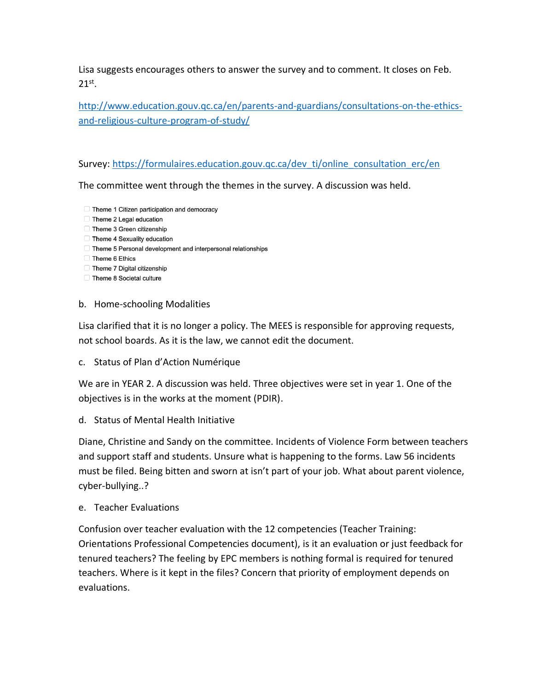Lisa suggests encourages others to answer the survey and to comment. It closes on Feb. 21st .

[http://www.education.gouv.qc.ca/en/parents-and-guardians/consultations-on-the-ethics](http://www.education.gouv.qc.ca/en/parents-and-guardians/consultations-on-the-ethics-and-religious-culture-program-of-study/)[and-religious-culture-program-of-study/](http://www.education.gouv.qc.ca/en/parents-and-guardians/consultations-on-the-ethics-and-religious-culture-program-of-study/)

Survey[: https://formulaires.education.gouv.qc.ca/dev\\_ti/online\\_consultation\\_erc/en](https://formulaires.education.gouv.qc.ca/dev_ti/online_consultation_erc/en)

The committee went through the themes in the survey. A discussion was held.

- Theme 1 Citizen participation and democracy
- Theme 2 Legal education
- □ Theme 3 Green citizenship
- Theme 4 Sexuality education
- Theme 5 Personal development and interpersonal relationships
- Theme 6 Ethics
- Theme 7 Digital citizenship
- Theme 8 Societal culture

## b. Home-schooling Modalities

Lisa clarified that it is no longer a policy. The MEES is responsible for approving requests, not school boards. As it is the law, we cannot edit the document.

c. Status of Plan d'Action Numérique

We are in YEAR 2. A discussion was held. Three objectives were set in year 1. One of the objectives is in the works at the moment (PDIR).

d. Status of Mental Health Initiative

Diane, Christine and Sandy on the committee. Incidents of Violence Form between teachers and support staff and students. Unsure what is happening to the forms. Law 56 incidents must be filed. Being bitten and sworn at isn't part of your job. What about parent violence, cyber-bullying..?

e. Teacher Evaluations

Confusion over teacher evaluation with the 12 competencies (Teacher Training: Orientations Professional Competencies document), is it an evaluation or just feedback for tenured teachers? The feeling by EPC members is nothing formal is required for tenured teachers. Where is it kept in the files? Concern that priority of employment depends on evaluations.